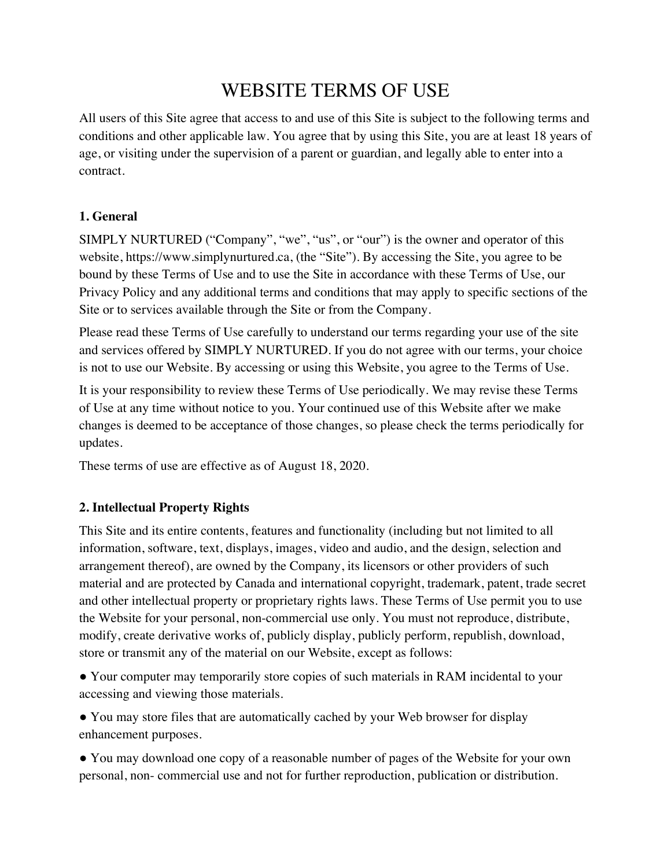# WEBSITE TERMS OF USE

All users of this Site agree that access to and use of this Site is subject to the following terms and conditions and other applicable law. You agree that by using this Site, you are at least 18 years of age, or visiting under the supervision of a parent or guardian, and legally able to enter into a contract.

# **1. General**

SIMPLY NURTURED ("Company", "we", "us", or "our") is the owner and operator of this website, https://www.simplynurtured.ca, (the "Site"). By accessing the Site, you agree to be bound by these Terms of Use and to use the Site in accordance with these Terms of Use, our Privacy Policy and any additional terms and conditions that may apply to specific sections of the Site or to services available through the Site or from the Company.

Please read these Terms of Use carefully to understand our terms regarding your use of the site and services offered by SIMPLY NURTURED. If you do not agree with our terms, your choice is not to use our Website. By accessing or using this Website, you agree to the Terms of Use.

It is your responsibility to review these Terms of Use periodically. We may revise these Terms of Use at any time without notice to you. Your continued use of this Website after we make changes is deemed to be acceptance of those changes, so please check the terms periodically for updates.

These terms of use are effective as of August 18, 2020.

# **2. Intellectual Property Rights**

This Site and its entire contents, features and functionality (including but not limited to all information, software, text, displays, images, video and audio, and the design, selection and arrangement thereof), are owned by the Company, its licensors or other providers of such material and are protected by Canada and international copyright, trademark, patent, trade secret and other intellectual property or proprietary rights laws. These Terms of Use permit you to use the Website for your personal, non-commercial use only. You must not reproduce, distribute, modify, create derivative works of, publicly display, publicly perform, republish, download, store or transmit any of the material on our Website, except as follows:

● Your computer may temporarily store copies of such materials in RAM incidental to your accessing and viewing those materials.

● You may store files that are automatically cached by your Web browser for display enhancement purposes.

● You may download one copy of a reasonable number of pages of the Website for your own personal, non- commercial use and not for further reproduction, publication or distribution.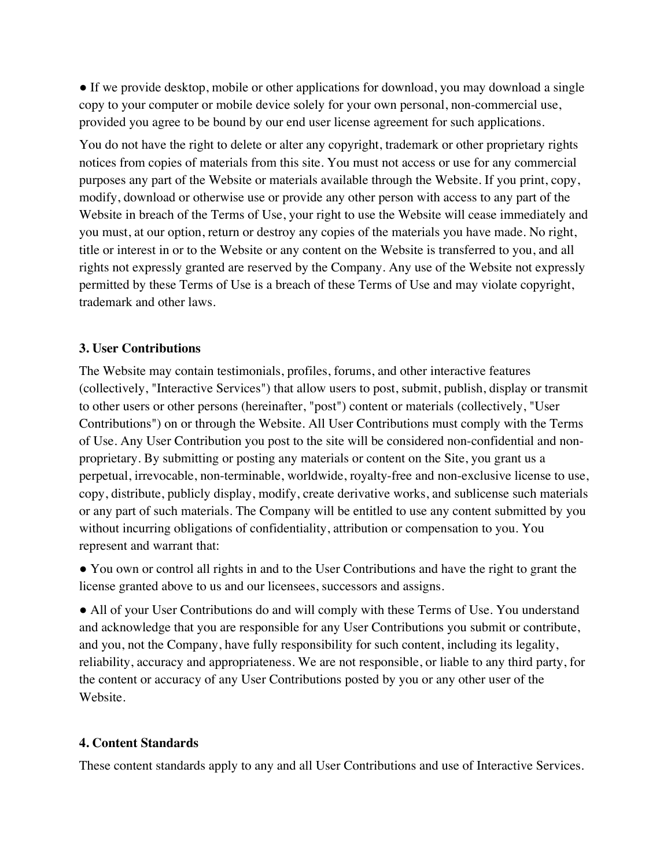• If we provide desktop, mobile or other applications for download, you may download a single copy to your computer or mobile device solely for your own personal, non-commercial use, provided you agree to be bound by our end user license agreement for such applications.

You do not have the right to delete or alter any copyright, trademark or other proprietary rights notices from copies of materials from this site. You must not access or use for any commercial purposes any part of the Website or materials available through the Website. If you print, copy, modify, download or otherwise use or provide any other person with access to any part of the Website in breach of the Terms of Use, your right to use the Website will cease immediately and you must, at our option, return or destroy any copies of the materials you have made. No right, title or interest in or to the Website or any content on the Website is transferred to you, and all rights not expressly granted are reserved by the Company. Any use of the Website not expressly permitted by these Terms of Use is a breach of these Terms of Use and may violate copyright, trademark and other laws.

#### **3. User Contributions**

The Website may contain testimonials, profiles, forums, and other interactive features (collectively, "Interactive Services") that allow users to post, submit, publish, display or transmit to other users or other persons (hereinafter, "post") content or materials (collectively, "User Contributions") on or through the Website. All User Contributions must comply with the Terms of Use. Any User Contribution you post to the site will be considered non-confidential and nonproprietary. By submitting or posting any materials or content on the Site, you grant us a perpetual, irrevocable, non-terminable, worldwide, royalty-free and non-exclusive license to use, copy, distribute, publicly display, modify, create derivative works, and sublicense such materials or any part of such materials. The Company will be entitled to use any content submitted by you without incurring obligations of confidentiality, attribution or compensation to you. You represent and warrant that:

● You own or control all rights in and to the User Contributions and have the right to grant the license granted above to us and our licensees, successors and assigns.

● All of your User Contributions do and will comply with these Terms of Use. You understand and acknowledge that you are responsible for any User Contributions you submit or contribute, and you, not the Company, have fully responsibility for such content, including its legality, reliability, accuracy and appropriateness. We are not responsible, or liable to any third party, for the content or accuracy of any User Contributions posted by you or any other user of the Website.

#### **4. Content Standards**

These content standards apply to any and all User Contributions and use of Interactive Services.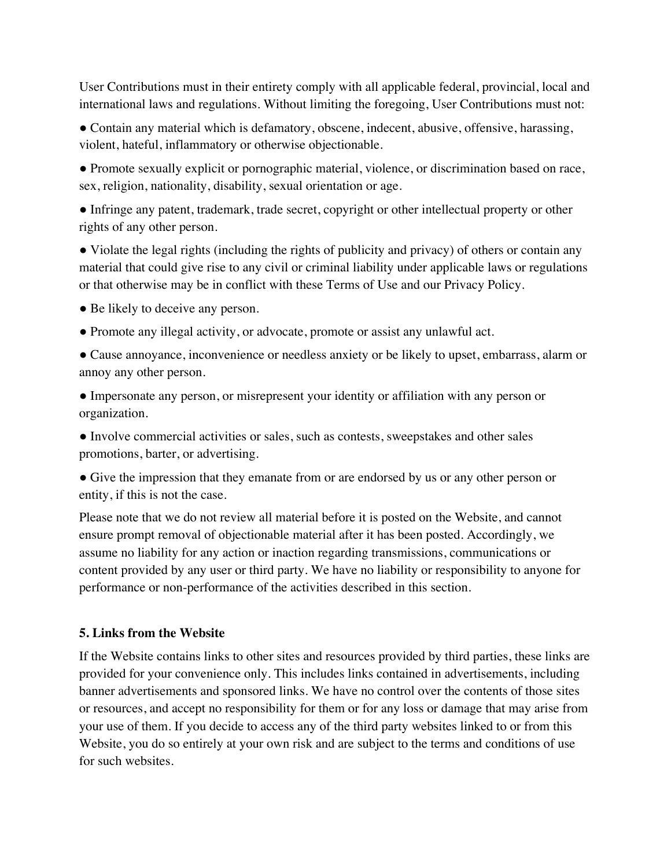User Contributions must in their entirety comply with all applicable federal, provincial, local and international laws and regulations. Without limiting the foregoing, User Contributions must not:

● Contain any material which is defamatory, obscene, indecent, abusive, offensive, harassing, violent, hateful, inflammatory or otherwise objectionable.

● Promote sexually explicit or pornographic material, violence, or discrimination based on race, sex, religion, nationality, disability, sexual orientation or age.

● Infringe any patent, trademark, trade secret, copyright or other intellectual property or other rights of any other person.

• Violate the legal rights (including the rights of publicity and privacy) of others or contain any material that could give rise to any civil or criminal liability under applicable laws or regulations or that otherwise may be in conflict with these Terms of Use and our Privacy Policy.

• Be likely to deceive any person.

● Promote any illegal activity, or advocate, promote or assist any unlawful act.

● Cause annoyance, inconvenience or needless anxiety or be likely to upset, embarrass, alarm or annoy any other person.

● Impersonate any person, or misrepresent your identity or affiliation with any person or organization.

● Involve commercial activities or sales, such as contests, sweepstakes and other sales promotions, barter, or advertising.

● Give the impression that they emanate from or are endorsed by us or any other person or entity, if this is not the case.

Please note that we do not review all material before it is posted on the Website, and cannot ensure prompt removal of objectionable material after it has been posted. Accordingly, we assume no liability for any action or inaction regarding transmissions, communications or content provided by any user or third party. We have no liability or responsibility to anyone for performance or non-performance of the activities described in this section.

## **5. Links from the Website**

If the Website contains links to other sites and resources provided by third parties, these links are provided for your convenience only. This includes links contained in advertisements, including banner advertisements and sponsored links. We have no control over the contents of those sites or resources, and accept no responsibility for them or for any loss or damage that may arise from your use of them. If you decide to access any of the third party websites linked to or from this Website, you do so entirely at your own risk and are subject to the terms and conditions of use for such websites.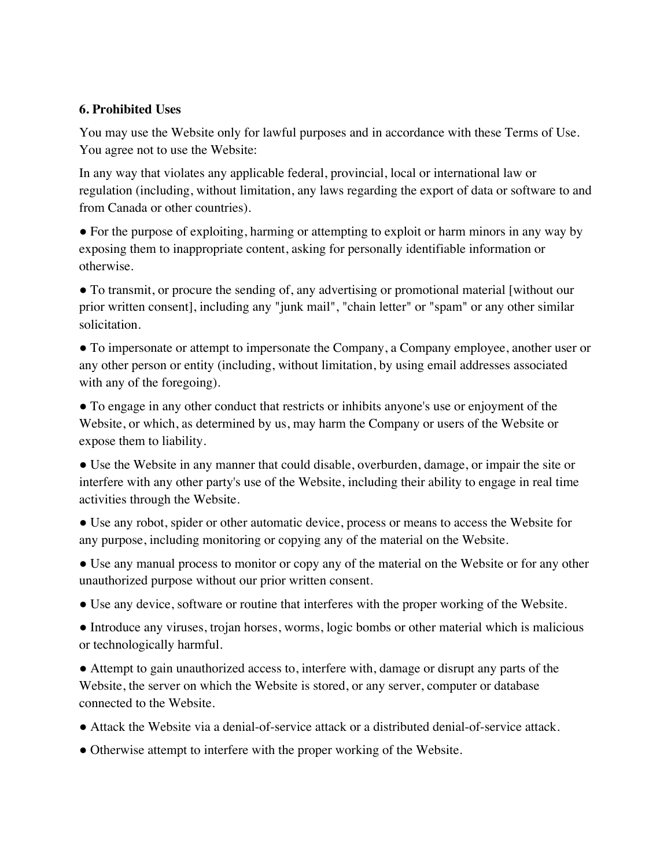#### **6. Prohibited Uses**

You may use the Website only for lawful purposes and in accordance with these Terms of Use. You agree not to use the Website:

In any way that violates any applicable federal, provincial, local or international law or regulation (including, without limitation, any laws regarding the export of data or software to and from Canada or other countries).

● For the purpose of exploiting, harming or attempting to exploit or harm minors in any way by exposing them to inappropriate content, asking for personally identifiable information or otherwise.

● To transmit, or procure the sending of, any advertising or promotional material [without our prior written consent], including any "junk mail", "chain letter" or "spam" or any other similar solicitation.

● To impersonate or attempt to impersonate the Company, a Company employee, another user or any other person or entity (including, without limitation, by using email addresses associated with any of the foregoing).

● To engage in any other conduct that restricts or inhibits anyone's use or enjoyment of the Website, or which, as determined by us, may harm the Company or users of the Website or expose them to liability.

● Use the Website in any manner that could disable, overburden, damage, or impair the site or interfere with any other party's use of the Website, including their ability to engage in real time activities through the Website.

● Use any robot, spider or other automatic device, process or means to access the Website for any purpose, including monitoring or copying any of the material on the Website.

• Use any manual process to monitor or copy any of the material on the Website or for any other unauthorized purpose without our prior written consent.

● Use any device, software or routine that interferes with the proper working of the Website.

• Introduce any viruses, trojan horses, worms, logic bombs or other material which is malicious or technologically harmful.

● Attempt to gain unauthorized access to, interfere with, damage or disrupt any parts of the Website, the server on which the Website is stored, or any server, computer or database connected to the Website.

- Attack the Website via a denial-of-service attack or a distributed denial-of-service attack.
- Otherwise attempt to interfere with the proper working of the Website.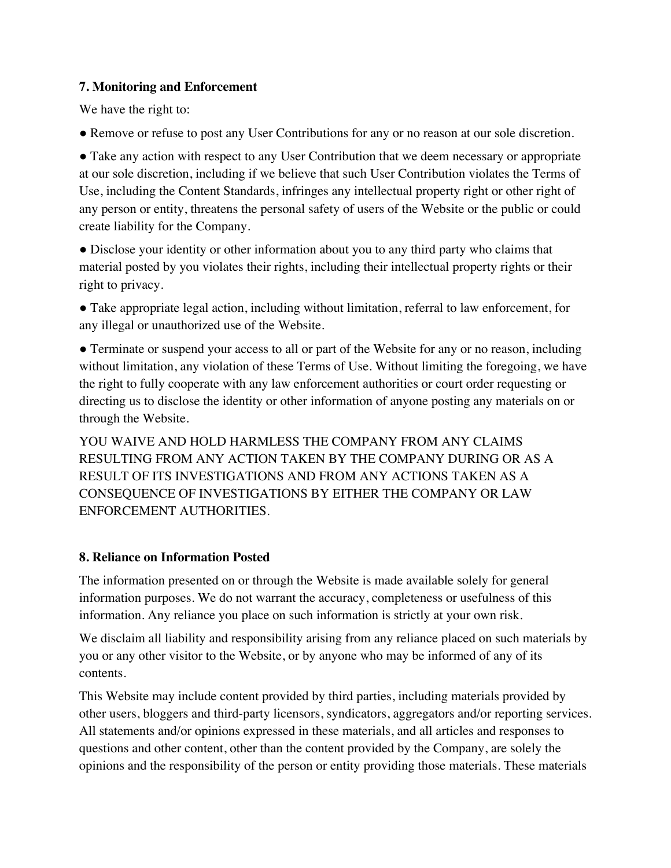## **7. Monitoring and Enforcement**

We have the right to:

● Remove or refuse to post any User Contributions for any or no reason at our sole discretion.

• Take any action with respect to any User Contribution that we deem necessary or appropriate at our sole discretion, including if we believe that such User Contribution violates the Terms of Use, including the Content Standards, infringes any intellectual property right or other right of any person or entity, threatens the personal safety of users of the Website or the public or could create liability for the Company.

● Disclose your identity or other information about you to any third party who claims that material posted by you violates their rights, including their intellectual property rights or their right to privacy.

● Take appropriate legal action, including without limitation, referral to law enforcement, for any illegal or unauthorized use of the Website.

• Terminate or suspend your access to all or part of the Website for any or no reason, including without limitation, any violation of these Terms of Use. Without limiting the foregoing, we have the right to fully cooperate with any law enforcement authorities or court order requesting or directing us to disclose the identity or other information of anyone posting any materials on or through the Website.

YOU WAIVE AND HOLD HARMLESS THE COMPANY FROM ANY CLAIMS RESULTING FROM ANY ACTION TAKEN BY THE COMPANY DURING OR AS A RESULT OF ITS INVESTIGATIONS AND FROM ANY ACTIONS TAKEN AS A CONSEQUENCE OF INVESTIGATIONS BY EITHER THE COMPANY OR LAW ENFORCEMENT AUTHORITIES.

# **8. Reliance on Information Posted**

The information presented on or through the Website is made available solely for general information purposes. We do not warrant the accuracy, completeness or usefulness of this information. Any reliance you place on such information is strictly at your own risk.

We disclaim all liability and responsibility arising from any reliance placed on such materials by you or any other visitor to the Website, or by anyone who may be informed of any of its contents.

This Website may include content provided by third parties, including materials provided by other users, bloggers and third-party licensors, syndicators, aggregators and/or reporting services. All statements and/or opinions expressed in these materials, and all articles and responses to questions and other content, other than the content provided by the Company, are solely the opinions and the responsibility of the person or entity providing those materials. These materials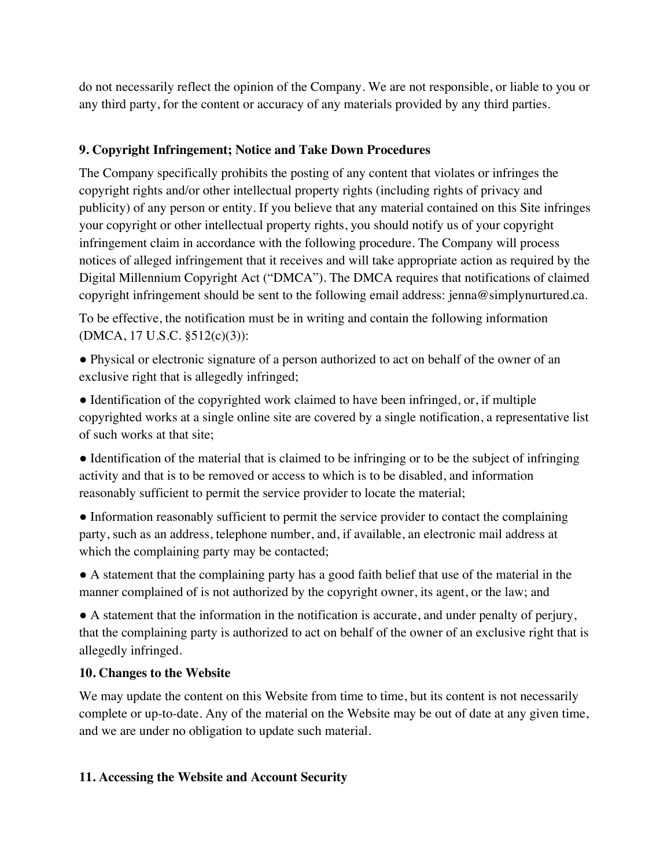do not necessarily reflect the opinion of the Company. We are not responsible, or liable to you or any third party, for the content or accuracy of any materials provided by any third parties.

# **9. Copyright Infringement; Notice and Take Down Procedures**

The Company specifically prohibits the posting of any content that violates or infringes the copyright rights and/or other intellectual property rights (including rights of privacy and publicity) of any person or entity. If you believe that any material contained on this Site infringes your copyright or other intellectual property rights, you should notify us of your copyright infringement claim in accordance with the following procedure. The Company will process notices of alleged infringement that it receives and will take appropriate action as required by the Digital Millennium Copyright Act ("DMCA"). The DMCA requires that notifications of claimed copyright infringement should be sent to the following email address: jenna@simplynurtured.ca.

To be effective, the notification must be in writing and contain the following information (DMCA, 17 U.S.C. §512(c)(3)):

● Physical or electronic signature of a person authorized to act on behalf of the owner of an exclusive right that is allegedly infringed;

● Identification of the copyrighted work claimed to have been infringed, or, if multiple copyrighted works at a single online site are covered by a single notification, a representative list of such works at that site;

• Identification of the material that is claimed to be infringing or to be the subject of infringing activity and that is to be removed or access to which is to be disabled, and information reasonably sufficient to permit the service provider to locate the material;

• Information reasonably sufficient to permit the service provider to contact the complaining party, such as an address, telephone number, and, if available, an electronic mail address at which the complaining party may be contacted;

● A statement that the complaining party has a good faith belief that use of the material in the manner complained of is not authorized by the copyright owner, its agent, or the law; and

● A statement that the information in the notification is accurate, and under penalty of perjury, that the complaining party is authorized to act on behalf of the owner of an exclusive right that is allegedly infringed.

## **10. Changes to the Website**

We may update the content on this Website from time to time, but its content is not necessarily complete or up-to-date. Any of the material on the Website may be out of date at any given time, and we are under no obligation to update such material.

## **11. Accessing the Website and Account Security**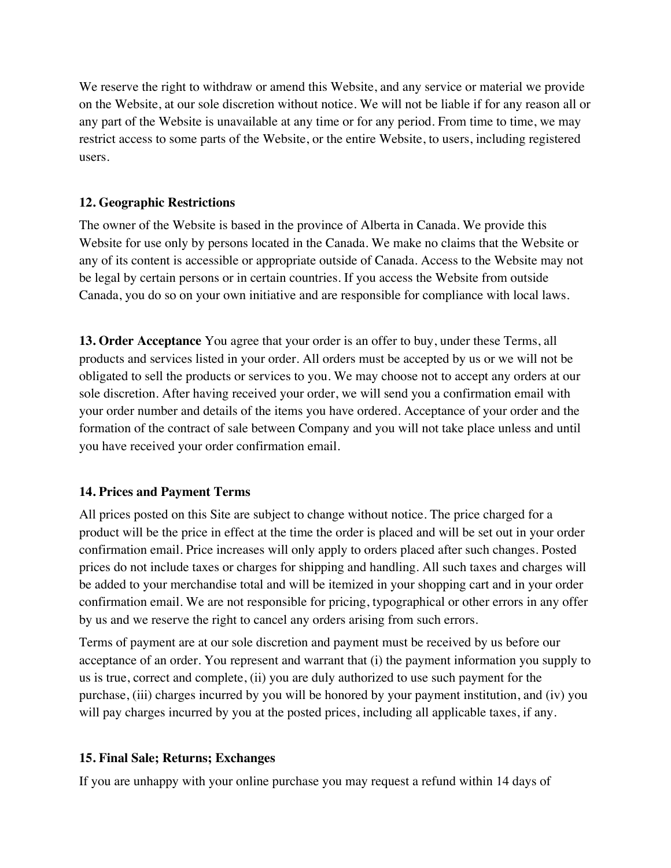We reserve the right to withdraw or amend this Website, and any service or material we provide on the Website, at our sole discretion without notice. We will not be liable if for any reason all or any part of the Website is unavailable at any time or for any period. From time to time, we may restrict access to some parts of the Website, or the entire Website, to users, including registered users.

## **12. Geographic Restrictions**

The owner of the Website is based in the province of Alberta in Canada. We provide this Website for use only by persons located in the Canada. We make no claims that the Website or any of its content is accessible or appropriate outside of Canada. Access to the Website may not be legal by certain persons or in certain countries. If you access the Website from outside Canada, you do so on your own initiative and are responsible for compliance with local laws.

**13. Order Acceptance** You agree that your order is an offer to buy, under these Terms, all products and services listed in your order. All orders must be accepted by us or we will not be obligated to sell the products or services to you. We may choose not to accept any orders at our sole discretion. After having received your order, we will send you a confirmation email with your order number and details of the items you have ordered. Acceptance of your order and the formation of the contract of sale between Company and you will not take place unless and until you have received your order confirmation email.

## **14. Prices and Payment Terms**

All prices posted on this Site are subject to change without notice. The price charged for a product will be the price in effect at the time the order is placed and will be set out in your order confirmation email. Price increases will only apply to orders placed after such changes. Posted prices do not include taxes or charges for shipping and handling. All such taxes and charges will be added to your merchandise total and will be itemized in your shopping cart and in your order confirmation email. We are not responsible for pricing, typographical or other errors in any offer by us and we reserve the right to cancel any orders arising from such errors.

Terms of payment are at our sole discretion and payment must be received by us before our acceptance of an order. You represent and warrant that (i) the payment information you supply to us is true, correct and complete, (ii) you are duly authorized to use such payment for the purchase, (iii) charges incurred by you will be honored by your payment institution, and (iv) you will pay charges incurred by you at the posted prices, including all applicable taxes, if any.

## **15. Final Sale; Returns; Exchanges**

If you are unhappy with your online purchase you may request a refund within 14 days of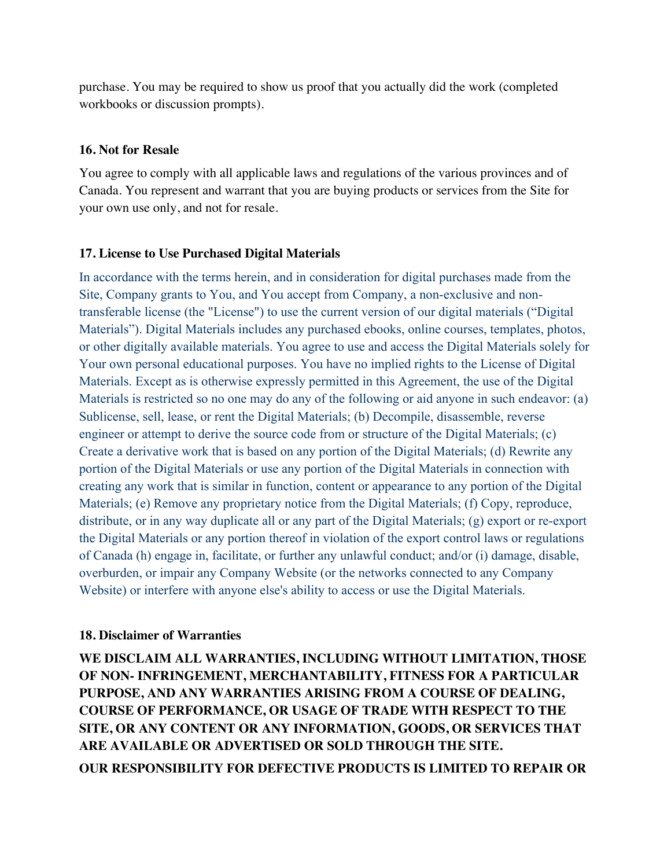purchase. You may be required to show us proof that you actually did the work (completed workbooks or discussion prompts).

#### **16. Not for Resale**

You agree to comply with all applicable laws and regulations of the various provinces and of Canada. You represent and warrant that you are buying products or services from the Site for your own use only, and not for resale.

#### **17. License to Use Purchased Digital Materials**

In accordance with the terms herein, and in consideration for digital purchases made from the Site, Company grants to You, and You accept from Company, a non-exclusive and nontransferable license (the "License") to use the current version of our digital materials ("Digital Materials"). Digital Materials includes any purchased ebooks, online courses, templates, photos, or other digitally available materials. You agree to use and access the Digital Materials solely for Your own personal educational purposes. You have no implied rights to the License of Digital Materials. Except as is otherwise expressly permitted in this Agreement, the use of the Digital Materials is restricted so no one may do any of the following or aid anyone in such endeavor: (a) Sublicense, sell, lease, or rent the Digital Materials; (b) Decompile, disassemble, reverse engineer or attempt to derive the source code from or structure of the Digital Materials; (c) Create a derivative work that is based on any portion of the Digital Materials; (d) Rewrite any portion of the Digital Materials or use any portion of the Digital Materials in connection with creating any work that is similar in function, content or appearance to any portion of the Digital Materials; (e) Remove any proprietary notice from the Digital Materials; (f) Copy, reproduce, distribute, or in any way duplicate all or any part of the Digital Materials; (g) export or re-export the Digital Materials or any portion thereof in violation of the export control laws or regulations of Canada (h) engage in, facilitate, or further any unlawful conduct; and/or (i) damage, disable, overburden, or impair any Company Website (or the networks connected to any Company Website) or interfere with anyone else's ability to access or use the Digital Materials.

#### **18. Disclaimer of Warranties**

**WE DISCLAIM ALL WARRANTIES, INCLUDING WITHOUT LIMITATION, THOSE OF NON- INFRINGEMENT, MERCHANTABILITY, FITNESS FOR A PARTICULAR PURPOSE, AND ANY WARRANTIES ARISING FROM A COURSE OF DEALING, COURSE OF PERFORMANCE, OR USAGE OF TRADE WITH RESPECT TO THE SITE, OR ANY CONTENT OR ANY INFORMATION, GOODS, OR SERVICES THAT ARE AVAILABLE OR ADVERTISED OR SOLD THROUGH THE SITE. OUR RESPONSIBILITY FOR DEFECTIVE PRODUCTS IS LIMITED TO REPAIR OR**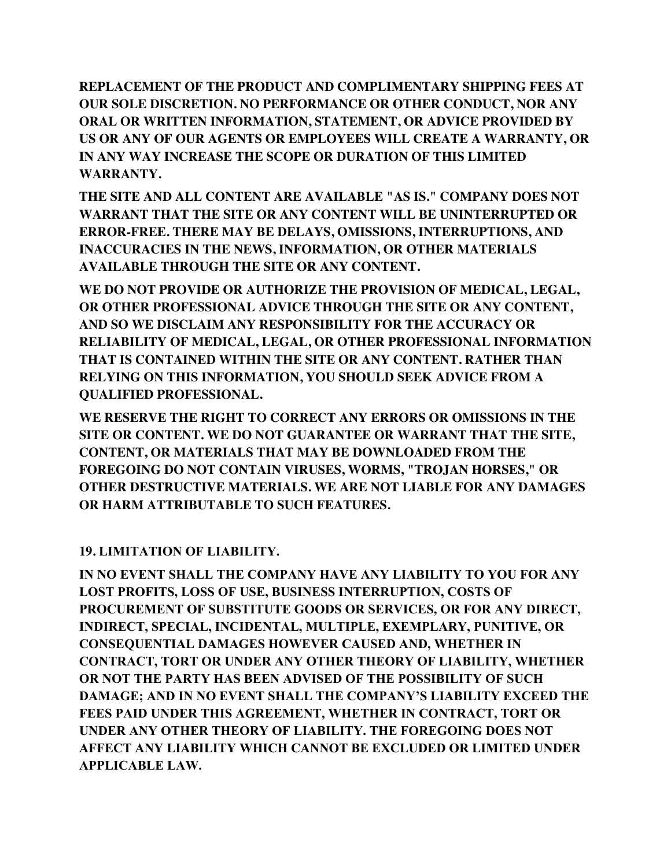**REPLACEMENT OF THE PRODUCT AND COMPLIMENTARY SHIPPING FEES AT OUR SOLE DISCRETION. NO PERFORMANCE OR OTHER CONDUCT, NOR ANY ORAL OR WRITTEN INFORMATION, STATEMENT, OR ADVICE PROVIDED BY US OR ANY OF OUR AGENTS OR EMPLOYEES WILL CREATE A WARRANTY, OR IN ANY WAY INCREASE THE SCOPE OR DURATION OF THIS LIMITED WARRANTY.**

**THE SITE AND ALL CONTENT ARE AVAILABLE "AS IS." COMPANY DOES NOT WARRANT THAT THE SITE OR ANY CONTENT WILL BE UNINTERRUPTED OR ERROR-FREE. THERE MAY BE DELAYS, OMISSIONS, INTERRUPTIONS, AND INACCURACIES IN THE NEWS, INFORMATION, OR OTHER MATERIALS AVAILABLE THROUGH THE SITE OR ANY CONTENT.**

**WE DO NOT PROVIDE OR AUTHORIZE THE PROVISION OF MEDICAL, LEGAL, OR OTHER PROFESSIONAL ADVICE THROUGH THE SITE OR ANY CONTENT, AND SO WE DISCLAIM ANY RESPONSIBILITY FOR THE ACCURACY OR RELIABILITY OF MEDICAL, LEGAL, OR OTHER PROFESSIONAL INFORMATION THAT IS CONTAINED WITHIN THE SITE OR ANY CONTENT. RATHER THAN RELYING ON THIS INFORMATION, YOU SHOULD SEEK ADVICE FROM A QUALIFIED PROFESSIONAL.**

**WE RESERVE THE RIGHT TO CORRECT ANY ERRORS OR OMISSIONS IN THE SITE OR CONTENT. WE DO NOT GUARANTEE OR WARRANT THAT THE SITE, CONTENT, OR MATERIALS THAT MAY BE DOWNLOADED FROM THE FOREGOING DO NOT CONTAIN VIRUSES, WORMS, "TROJAN HORSES," OR OTHER DESTRUCTIVE MATERIALS. WE ARE NOT LIABLE FOR ANY DAMAGES OR HARM ATTRIBUTABLE TO SUCH FEATURES.**

# **19. LIMITATION OF LIABILITY.**

**IN NO EVENT SHALL THE COMPANY HAVE ANY LIABILITY TO YOU FOR ANY LOST PROFITS, LOSS OF USE, BUSINESS INTERRUPTION, COSTS OF PROCUREMENT OF SUBSTITUTE GOODS OR SERVICES, OR FOR ANY DIRECT, INDIRECT, SPECIAL, INCIDENTAL, MULTIPLE, EXEMPLARY, PUNITIVE, OR CONSEQUENTIAL DAMAGES HOWEVER CAUSED AND, WHETHER IN CONTRACT, TORT OR UNDER ANY OTHER THEORY OF LIABILITY, WHETHER OR NOT THE PARTY HAS BEEN ADVISED OF THE POSSIBILITY OF SUCH DAMAGE; AND IN NO EVENT SHALL THE COMPANY'S LIABILITY EXCEED THE FEES PAID UNDER THIS AGREEMENT, WHETHER IN CONTRACT, TORT OR UNDER ANY OTHER THEORY OF LIABILITY. THE FOREGOING DOES NOT AFFECT ANY LIABILITY WHICH CANNOT BE EXCLUDED OR LIMITED UNDER APPLICABLE LAW.**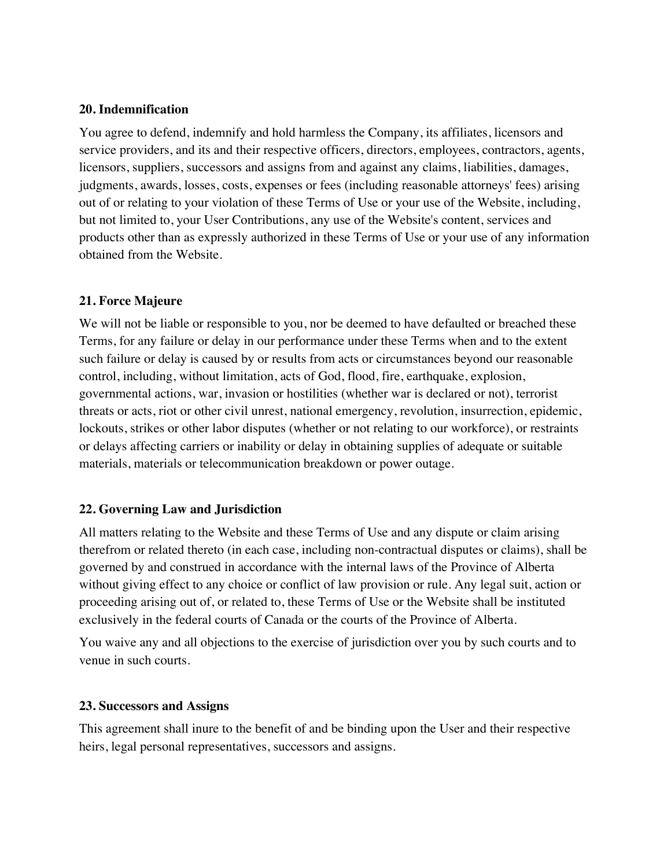#### **20. Indemnification**

You agree to defend, indemnify and hold harmless the Company, its affiliates, licensors and service providers, and its and their respective officers, directors, employees, contractors, agents, licensors, suppliers, successors and assigns from and against any claims, liabilities, damages, judgments, awards, losses, costs, expenses or fees (including reasonable attorneys' fees) arising out of or relating to your violation of these Terms of Use or your use of the Website, including, but not limited to, your User Contributions, any use of the Website's content, services and products other than as expressly authorized in these Terms of Use or your use of any information obtained from the Website.

## **21. Force Majeure**

We will not be liable or responsible to you, nor be deemed to have defaulted or breached these Terms, for any failure or delay in our performance under these Terms when and to the extent such failure or delay is caused by or results from acts or circumstances beyond our reasonable control, including, without limitation, acts of God, flood, fire, earthquake, explosion, governmental actions, war, invasion or hostilities (whether war is declared or not), terrorist threats or acts, riot or other civil unrest, national emergency, revolution, insurrection, epidemic, lockouts, strikes or other labor disputes (whether or not relating to our workforce), or restraints or delays affecting carriers or inability or delay in obtaining supplies of adequate or suitable materials, materials or telecommunication breakdown or power outage.

## **22. Governing Law and Jurisdiction**

All matters relating to the Website and these Terms of Use and any dispute or claim arising therefrom or related thereto (in each case, including non-contractual disputes or claims), shall be governed by and construed in accordance with the internal laws of the Province of Alberta without giving effect to any choice or conflict of law provision or rule. Any legal suit, action or proceeding arising out of, or related to, these Terms of Use or the Website shall be instituted exclusively in the federal courts of Canada or the courts of the Province of Alberta.

You waive any and all objections to the exercise of jurisdiction over you by such courts and to venue in such courts.

## **23. Successors and Assigns**

This agreement shall inure to the benefit of and be binding upon the User and their respective heirs, legal personal representatives, successors and assigns.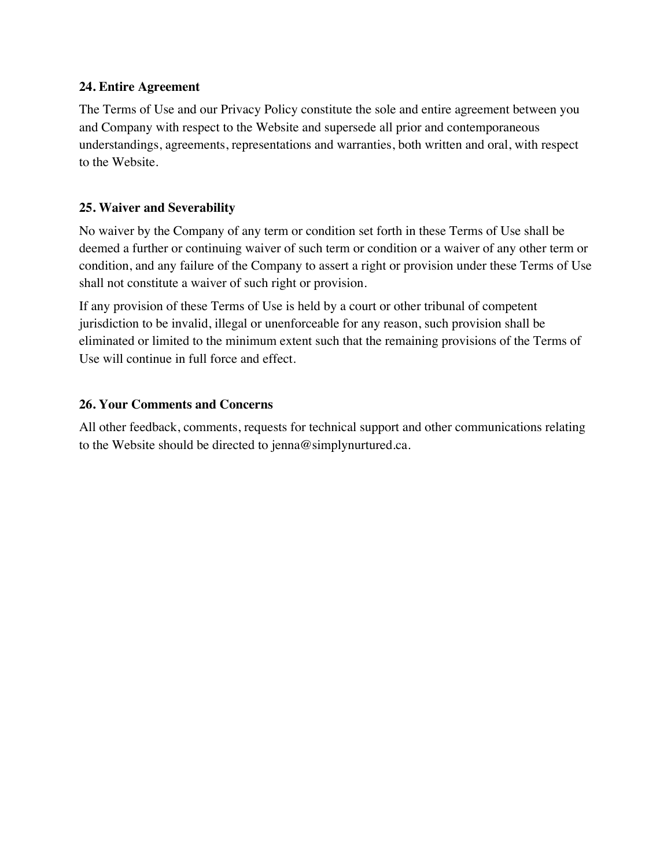## **24. Entire Agreement**

The Terms of Use and our Privacy Policy constitute the sole and entire agreement between you and Company with respect to the Website and supersede all prior and contemporaneous understandings, agreements, representations and warranties, both written and oral, with respect to the Website.

## **25. Waiver and Severability**

No waiver by the Company of any term or condition set forth in these Terms of Use shall be deemed a further or continuing waiver of such term or condition or a waiver of any other term or condition, and any failure of the Company to assert a right or provision under these Terms of Use shall not constitute a waiver of such right or provision.

If any provision of these Terms of Use is held by a court or other tribunal of competent jurisdiction to be invalid, illegal or unenforceable for any reason, such provision shall be eliminated or limited to the minimum extent such that the remaining provisions of the Terms of Use will continue in full force and effect.

#### **26. Your Comments and Concerns**

All other feedback, comments, requests for technical support and other communications relating to the Website should be directed to jenna@simplynurtured.ca.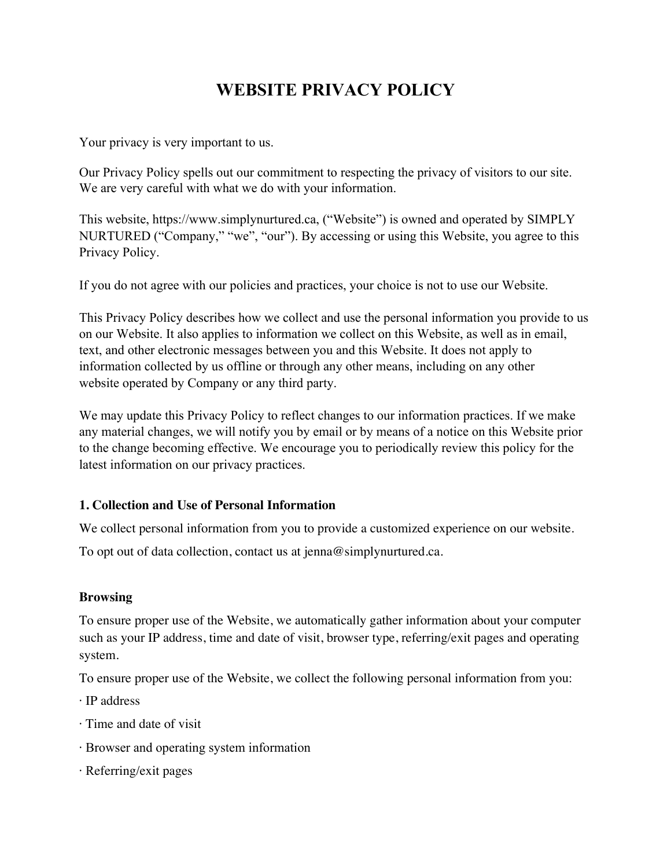# **WEBSITE PRIVACY POLICY**

Your privacy is very important to us.

Our Privacy Policy spells out our commitment to respecting the privacy of visitors to our site. We are very careful with what we do with your information.

This website, https://www.simplynurtured.ca, ("Website") is owned and operated by SIMPLY NURTURED ("Company," "we", "our"). By accessing or using this Website, you agree to this Privacy Policy.

If you do not agree with our policies and practices, your choice is not to use our Website.

This Privacy Policy describes how we collect and use the personal information you provide to us on our Website. It also applies to information we collect on this Website, as well as in email, text, and other electronic messages between you and this Website. It does not apply to information collected by us offline or through any other means, including on any other website operated by Company or any third party.

We may update this Privacy Policy to reflect changes to our information practices. If we make any material changes, we will notify you by email or by means of a notice on this Website prior to the change becoming effective. We encourage you to periodically review this policy for the latest information on our privacy practices.

## **1. Collection and Use of Personal Information**

We collect personal information from you to provide a customized experience on our website.

To opt out of data collection, contact us at jenna@simplynurtured.ca.

## **Browsing**

To ensure proper use of the Website, we automatically gather information about your computer such as your IP address, time and date of visit, browser type, referring/exit pages and operating system.

To ensure proper use of the Website, we collect the following personal information from you:

- · IP address
- · Time and date of visit
- · Browser and operating system information
- · Referring/exit pages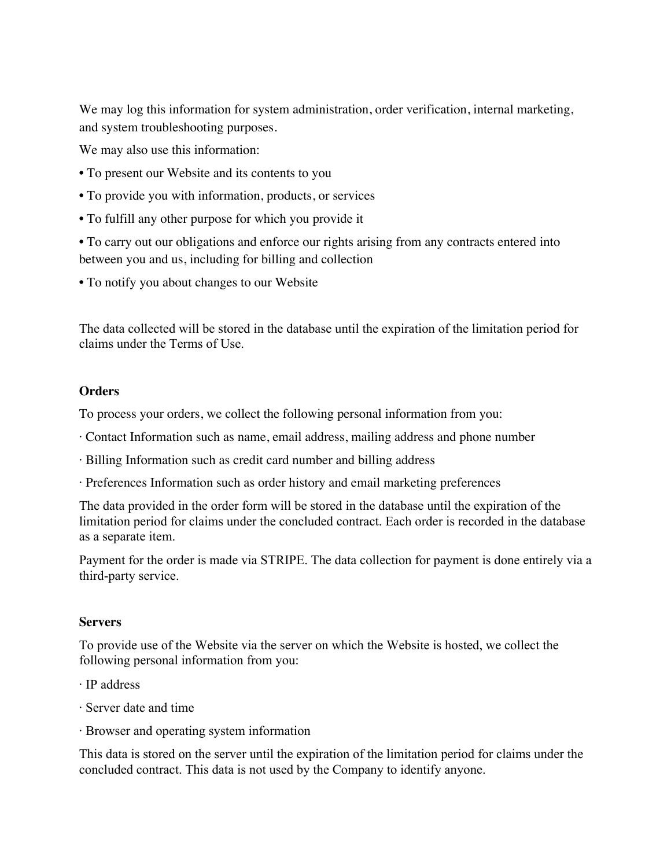We may log this information for system administration, order verification, internal marketing, and system troubleshooting purposes.

We may also use this information:

- To present our Website and its contents to you
- To provide you with information, products, or services
- To fulfill any other purpose for which you provide it

• To carry out our obligations and enforce our rights arising from any contracts entered into between you and us, including for billing and collection

• To notify you about changes to our Website

The data collected will be stored in the database until the expiration of the limitation period for claims under the Terms of Use.

#### **Orders**

To process your orders, we collect the following personal information from you:

- · Contact Information such as name, email address, mailing address and phone number
- · Billing Information such as credit card number and billing address
- · Preferences Information such as order history and email marketing preferences

The data provided in the order form will be stored in the database until the expiration of the limitation period for claims under the concluded contract. Each order is recorded in the database as a separate item.

Payment for the order is made via STRIPE. The data collection for payment is done entirely via a third-party service.

#### **Servers**

To provide use of the Website via the server on which the Website is hosted, we collect the following personal information from you:

- · IP address
- · Server date and time
- · Browser and operating system information

This data is stored on the server until the expiration of the limitation period for claims under the concluded contract. This data is not used by the Company to identify anyone.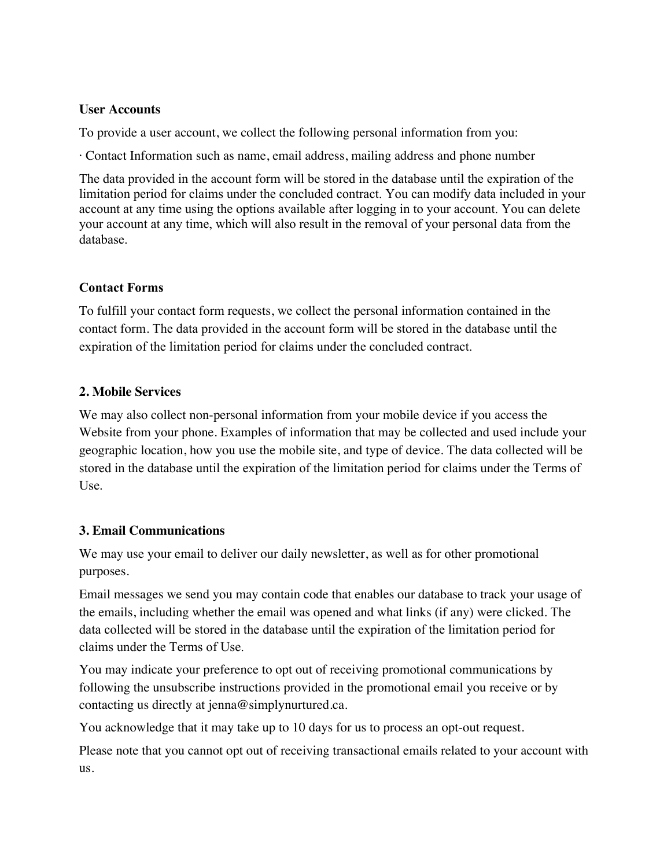#### **User Accounts**

To provide a user account, we collect the following personal information from you:

· Contact Information such as name, email address, mailing address and phone number

The data provided in the account form will be stored in the database until the expiration of the limitation period for claims under the concluded contract. You can modify data included in your account at any time using the options available after logging in to your account. You can delete your account at any time, which will also result in the removal of your personal data from the database.

# **Contact Forms**

To fulfill your contact form requests, we collect the personal information contained in the contact form. The data provided in the account form will be stored in the database until the expiration of the limitation period for claims under the concluded contract.

# **2. Mobile Services**

We may also collect non-personal information from your mobile device if you access the Website from your phone. Examples of information that may be collected and used include your geographic location, how you use the mobile site, and type of device. The data collected will be stored in the database until the expiration of the limitation period for claims under the Terms of Use.

# **3. Email Communications**

We may use your email to deliver our daily newsletter, as well as for other promotional purposes.

Email messages we send you may contain code that enables our database to track your usage of the emails, including whether the email was opened and what links (if any) were clicked. The data collected will be stored in the database until the expiration of the limitation period for claims under the Terms of Use.

You may indicate your preference to opt out of receiving promotional communications by following the unsubscribe instructions provided in the promotional email you receive or by contacting us directly at jenna@simplynurtured.ca.

You acknowledge that it may take up to 10 days for us to process an opt-out request.

Please note that you cannot opt out of receiving transactional emails related to your account with us.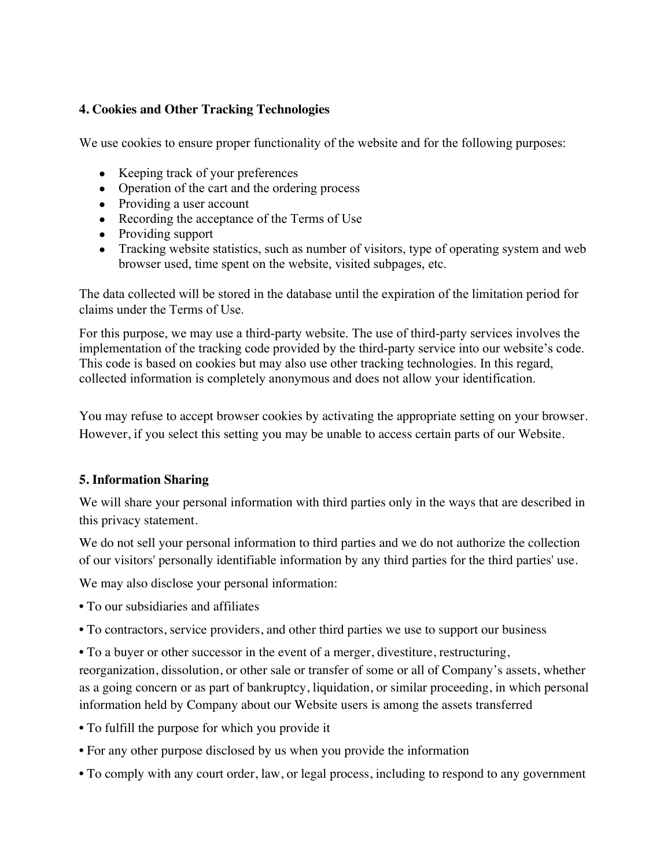## **4. Cookies and Other Tracking Technologies**

We use cookies to ensure proper functionality of the website and for the following purposes:

- Keeping track of your preferences
- Operation of the cart and the ordering process
- Providing a user account
- Recording the acceptance of the Terms of Use
- Providing support
- Tracking website statistics, such as number of visitors, type of operating system and web browser used, time spent on the website, visited subpages, etc.

The data collected will be stored in the database until the expiration of the limitation period for claims under the Terms of Use.

For this purpose, we may use a third-party website. The use of third-party services involves the implementation of the tracking code provided by the third-party service into our website's code. This code is based on cookies but may also use other tracking technologies. In this regard, collected information is completely anonymous and does not allow your identification.

You may refuse to accept browser cookies by activating the appropriate setting on your browser. However, if you select this setting you may be unable to access certain parts of our Website.

## **5. Information Sharing**

We will share your personal information with third parties only in the ways that are described in this privacy statement.

We do not sell your personal information to third parties and we do not authorize the collection of our visitors' personally identifiable information by any third parties for the third parties' use.

We may also disclose your personal information:

- To our subsidiaries and affiliates
- To contractors, service providers, and other third parties we use to support our business
- To a buyer or other successor in the event of a merger, divestiture, restructuring, reorganization, dissolution, or other sale or transfer of some or all of Company's assets, whether as a going concern or as part of bankruptcy, liquidation, or similar proceeding, in which personal information held by Company about our Website users is among the assets transferred
- To fulfill the purpose for which you provide it
- For any other purpose disclosed by us when you provide the information
- To comply with any court order, law, or legal process, including to respond to any government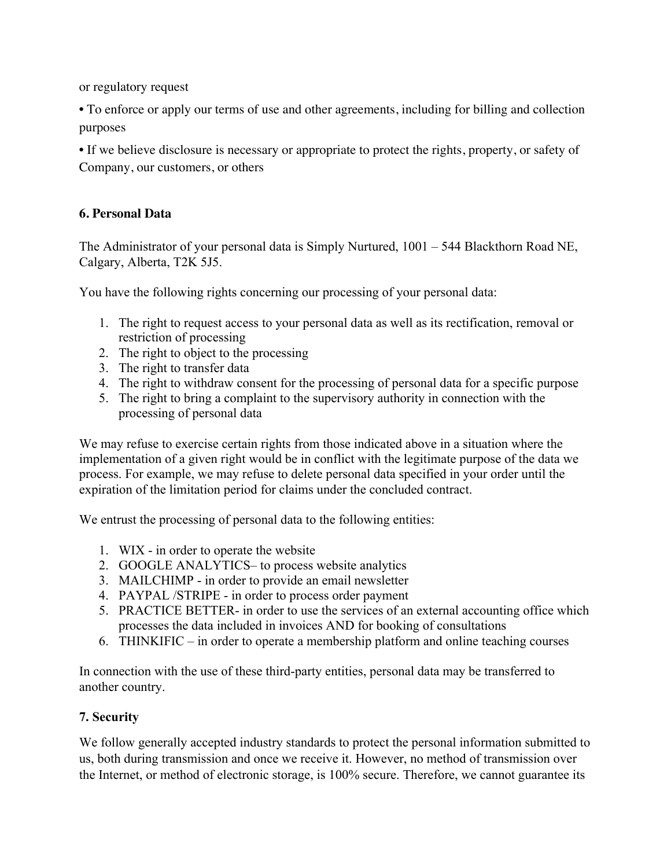or regulatory request

• To enforce or apply our terms of use and other agreements, including for billing and collection purposes

• If we believe disclosure is necessary or appropriate to protect the rights, property, or safety of Company, our customers, or others

# **6. Personal Data**

The Administrator of your personal data is Simply Nurtured, 1001 – 544 Blackthorn Road NE, Calgary, Alberta, T2K 5J5.

You have the following rights concerning our processing of your personal data:

- 1. The right to request access to your personal data as well as its rectification, removal or restriction of processing
- 2. The right to object to the processing
- 3. The right to transfer data
- 4. The right to withdraw consent for the processing of personal data for a specific purpose
- 5. The right to bring a complaint to the supervisory authority in connection with the processing of personal data

We may refuse to exercise certain rights from those indicated above in a situation where the implementation of a given right would be in conflict with the legitimate purpose of the data we process. For example, we may refuse to delete personal data specified in your order until the expiration of the limitation period for claims under the concluded contract.

We entrust the processing of personal data to the following entities:

- 1. WIX in order to operate the website
- 2. GOOGLE ANALYTICS– to process website analytics
- 3. MAILCHIMP in order to provide an email newsletter
- 4. PAYPAL /STRIPE in order to process order payment
- 5. PRACTICE BETTER- in order to use the services of an external accounting office which processes the data included in invoices AND for booking of consultations
- 6. THINKIFIC in order to operate a membership platform and online teaching courses

In connection with the use of these third-party entities, personal data may be transferred to another country.

# **7. Security**

We follow generally accepted industry standards to protect the personal information submitted to us, both during transmission and once we receive it. However, no method of transmission over the Internet, or method of electronic storage, is 100% secure. Therefore, we cannot guarantee its